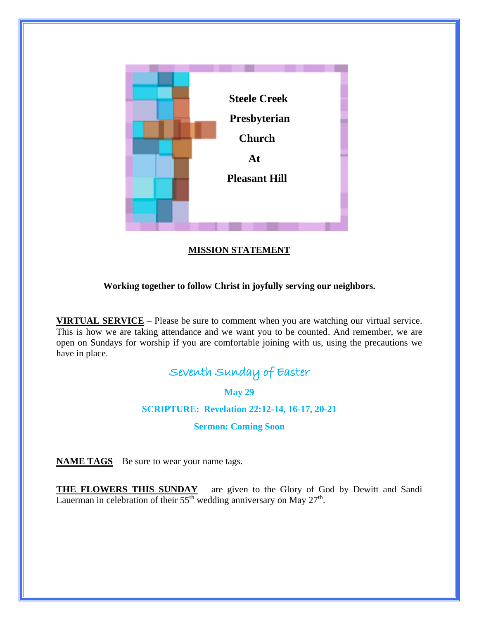

# **MISSION STATEMENT**

## **Working together to follow Christ in joyfully serving our neighbors.**

**VIRTUAL SERVICE** – Please be sure to comment when you are watching our virtual service. This is how we are taking attendance and we want you to be counted. And remember, we are open on Sundays for worship if you are comfortable joining with us, using the precautions we have in place.

# Seventh Sunday of Easter

**May 29**

**SCRIPTURE: Revelation 22:12-14, 16-17, 20-21**

**Sermon: Coming Soon**

**NAME TAGS** – Be sure to wear your name tags.

**THE FLOWERS THIS SUNDAY** – are given to the Glory of God by Dewitt and Sandi Lauerman in celebration of their  $55<sup>th</sup>$  wedding anniversary on May  $27<sup>th</sup>$ .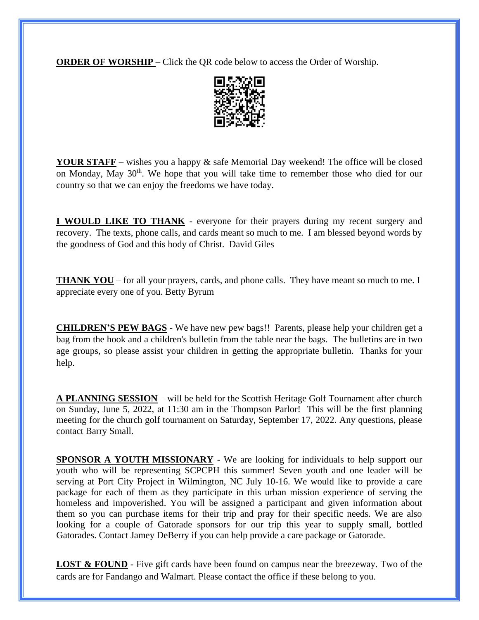**ORDER OF WORSHIP** – Click the QR code below to access the Order of Worship.



**YOUR STAFF** – wishes you a happy & safe Memorial Day weekend! The office will be closed on Monday, May 30<sup>th</sup>. We hope that you will take time to remember those who died for our country so that we can enjoy the freedoms we have today.

**I WOULD LIKE TO THANK** - everyone for their prayers during my recent surgery and recovery. The texts, phone calls, and cards meant so much to me. I am blessed beyond words by the goodness of God and this body of Christ. David Giles

**THANK YOU** – for all your prayers, cards, and phone calls. They have meant so much to me. I appreciate every one of you. Betty Byrum

**CHILDREN'S PEW BAGS** - We have new pew bags!! Parents, please help your children get a bag from the hook and a children's bulletin from the table near the bags. The bulletins are in two age groups, so please assist your children in getting the appropriate bulletin. Thanks for your help.

**A PLANNING SESSION** – will be held for the Scottish Heritage Golf Tournament after church on Sunday, June 5, 2022, at 11:30 am in the Thompson Parlor! This will be the first planning meeting for the church golf tournament on Saturday, September 17, 2022. Any questions, please contact Barry Small.

**SPONSOR A YOUTH MISSIONARY** - We are looking for individuals to help support our youth who will be representing SCPCPH this summer! Seven youth and one leader will be serving at Port City Project in Wilmington, NC July 10-16. We would like to provide a care package for each of them as they participate in this urban mission experience of serving the homeless and impoverished. You will be assigned a participant and given information about them so you can purchase items for their trip and pray for their specific needs. We are also looking for a couple of Gatorade sponsors for our trip this year to supply small, bottled Gatorades. Contact Jamey DeBerry if you can help provide a care package or Gatorade.

**LOST & FOUND** - Five gift cards have been found on campus near the breezeway. Two of the cards are for Fandango and Walmart. Please contact the office if these belong to you.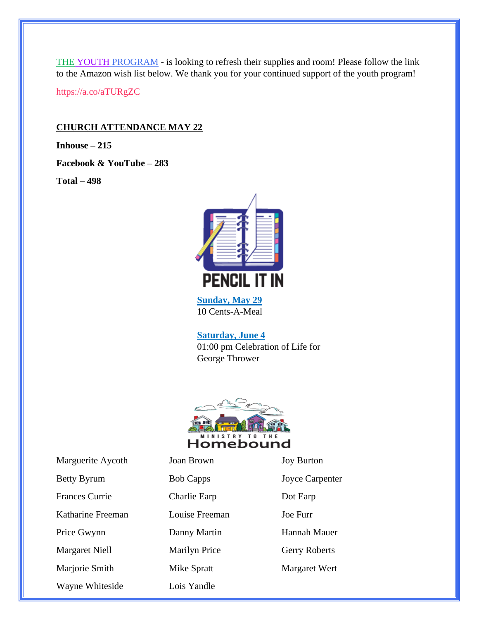THE YOUTH PROGRAM - is looking to refresh their supplies and room! Please follow the link to the Amazon wish list below. We thank you for your continued support of the youth program! <https://a.co/aTURgZC>

#### **CHURCH ATTENDANCE MAY 22**

**Inhouse – 215**

**Facebook & YouTube – 283**

**Total – 498**



**Sunday, May 29** 10 Cents-A-Meal

**Saturday, June 4** 01:00 pm Celebration of Life for George Thrower



Marguerite Aycoth Joan Brown Joy Burton Betty Byrum Bob Capps Joyce Carpenter Frances Currie Charlie Earp Dot Earp Katharine Freeman Louise Freeman Joe Furr Price Gwynn Danny Martin Hannah Mauer Margaret Niell Marilyn Price Gerry Roberts Marjorie Smith Mike Spratt Margaret Wert Wayne Whiteside Lois Yandle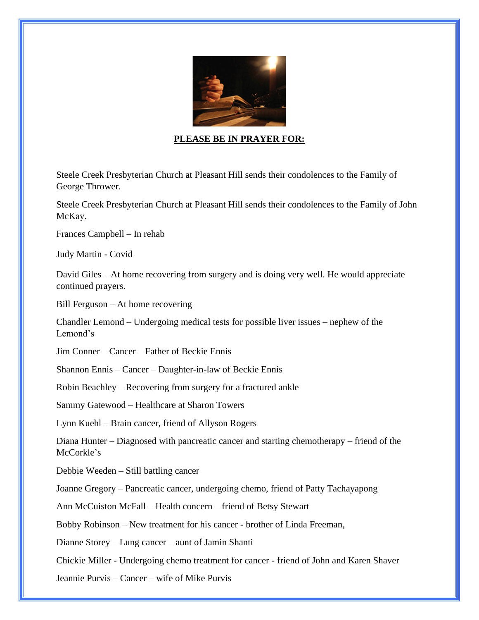

#### **PLEASE BE IN PRAYER FOR:**

Steele Creek Presbyterian Church at Pleasant Hill sends their condolences to the Family of George Thrower.

Steele Creek Presbyterian Church at Pleasant Hill sends their condolences to the Family of John McKay.

Frances Campbell – In rehab

Judy Martin - Covid

David Giles – At home recovering from surgery and is doing very well. He would appreciate continued prayers.

Bill Ferguson – At home recovering

Chandler Lemond – Undergoing medical tests for possible liver issues – nephew of the Lemond's

Jim Conner – Cancer – Father of Beckie Ennis

Shannon Ennis – Cancer – Daughter-in-law of Beckie Ennis

Robin Beachley – Recovering from surgery for a fractured ankle

Sammy Gatewood – Healthcare at Sharon Towers

Lynn Kuehl – Brain cancer, friend of Allyson Rogers

Diana Hunter – Diagnosed with pancreatic cancer and starting chemotherapy – friend of the McCorkle's

Debbie Weeden – Still battling cancer

Joanne Gregory – Pancreatic cancer, undergoing chemo, friend of Patty Tachayapong

Ann McCuiston McFall – Health concern – friend of Betsy Stewart

Bobby Robinson – New treatment for his cancer - brother of Linda Freeman,

Dianne Storey – Lung cancer – aunt of Jamin Shanti

Chickie Miller - Undergoing chemo treatment for cancer - friend of John and Karen Shaver

Jeannie Purvis – Cancer – wife of Mike Purvis